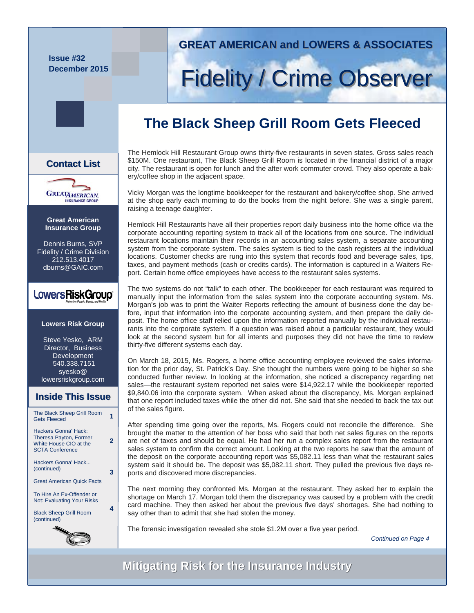**Issue #32 December 2015** 

### **GREAT AMERICAN and LOWERS & ASSOCIATES GREAT AMERICAN and LOWERS & ASSOCIATES**

# **Fidelity / Crime Observer**

# **The Black Sheep Grill Room Gets Fleeced**

The Hemlock Hill Restaurant Group owns thirty-five restaurants in seven states. Gross sales reach \$150M. One restaurant, The Black Sheep Grill Room is located in the financial district of a major city. The restaurant is open for lunch and the after work commuter crowd. They also operate a bakery/coffee shop in the adjacent space.

Vicky Morgan was the longtime bookkeeper for the restaurant and bakery/coffee shop. She arrived at the shop early each morning to do the books from the night before. She was a single parent, raising a teenage daughter.

Hemlock Hill Restaurants have all their properties report daily business into the home office via the corporate accounting reporting system to track all of the locations from one source. The individual restaurant locations maintain their records in an accounting sales system, a separate accounting system from the corporate system. The sales system is tied to the cash registers at the individual locations. Customer checks are rung into this system that records food and beverage sales, tips, taxes, and payment methods (cash or credits cards). The information is captured in a Waiters Report. Certain home office employees have access to the restaurant sales systems.

The two systems do not "talk" to each other. The bookkeeper for each restaurant was required to manually input the information from the sales system into the corporate accounting system. Ms. Morgan's job was to print the Waiter Reports reflecting the amount of business done the day before, input that information into the corporate accounting system, and then prepare the daily deposit. The home office staff relied upon the information reported manually by the individual restaurants into the corporate system. If a question was raised about a particular restaurant, they would look at the second system but for all intents and purposes they did not have the time to review thirty-five different systems each day.

On March 18, 2015, Ms. Rogers, a home office accounting employee reviewed the sales information for the prior day, St. Patrick's Day. She thought the numbers were going to be higher so she conducted further review. In looking at the information, she noticed a discrepancy regarding net sales—the restaurant system reported net sales were \$14,922.17 while the bookkeeper reported \$9,840.06 into the corporate system. When asked about the discrepancy, Ms. Morgan explained that one report included taxes while the other did not. She said that she needed to back the tax out of the sales figure.

After spending time going over the reports, Ms. Rogers could not reconcile the difference. She brought the matter to the attention of her boss who said that both net sales figures on the reports are net of taxes and should be equal. He had her run a complex sales report from the restaurant sales system to confirm the correct amount. Looking at the two reports he saw that the amount of the deposit on the corporate accounting report was \$5,082.11 less than what the restaurant sales system said it should be. The deposit was \$5,082.11 short. They pulled the previous five days reports and discovered more discrepancies.

The next morning they confronted Ms. Morgan at the restaurant. They asked her to explain the shortage on March 17. Morgan told them the discrepancy was caused by a problem with the credit card machine. They then asked her about the previous five days' shortages. She had nothing to say other than to admit that she had stolen the money.

The forensic investigation revealed she stole \$1.2M over a five year period.

*Continued on Page 4* 

**Mitigating Risk for the Insurance Industry Mitigating Risk for the Insurance Industry**

### **Contact List List**



**Great American Insurance Group** 

Dennis Burns, SVP Fidelity / Crime Division 212.513.4017 dburns@GAIC.com

### LowersRiskGroup®

#### **Lowers Risk Group**

Steve Yesko, ARM Director, Business Development 540.338.7151 syesko@ lowersriskgroup.com

#### **Inside This Issue Inside This Issue**

| The Black Sheep Grill Room<br><b>Gets Fleeced</b>                                                         |   |
|-----------------------------------------------------------------------------------------------------------|---|
| Hackers Gonna' Hack:<br><b>Theresa Payton, Former</b><br>White House CIO at the<br><b>SCTA Conference</b> | 2 |
| Hackers Gonna' Hack<br>(continued)                                                                        | 3 |
| <b>Great American Quick Facts</b>                                                                         |   |
| To Hire An Ex-Offender or<br><b>Not: Evaluating Your Risks</b>                                            |   |
| <b>Black Sheep Grill Room</b><br>(continued)                                                              | 4 |
| N,                                                                                                        |   |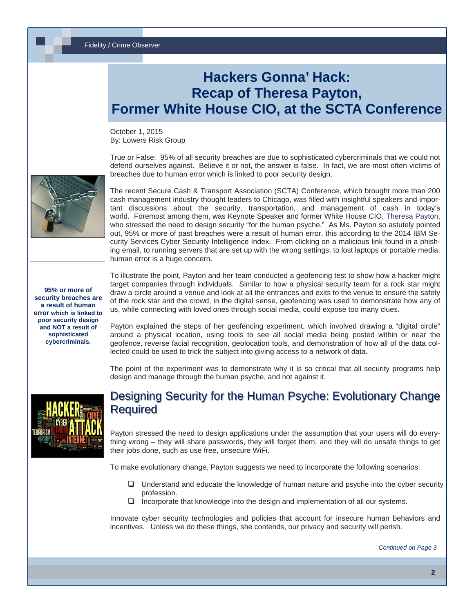# **Hackers Gonna' Hack: Recap of Theresa Payton, Former White House CIO, at the SCTA Conference**

October 1, 2015 By: Lowers Risk Group

True or False: 95% of all security breaches are due to sophisticated cybercriminals that we could not defend ourselves against. Believe it or not, the answer is false. In fact, we are most often victims of breaches due to human error which is linked to poor security design.



The recent Secure Cash & Transport Association (SCTA) Conference, which brought more than 200 cash management industry thought leaders to Chicago, was filled with insightful speakers and important discussions about the security, transportation, and management of cash in today's world. Foremost among them, was Keynote Speaker and former White House CIO, [Theresa Payton](http://scta.securetransportassociation.org/theresa-payton/), who stressed the need to design security "for the human psyche." As Ms. Payton so astutely pointed out, 95% or more of past breaches were a result of human error, this according to the 2014 IBM Security Services Cyber Security Intelligence Index. From clicking on a malicious link found in a phishing email, to running servers that are set up with the wrong settings, to lost laptops or portable media, human error is a huge concern.

**95% or more of security breaches are a result of human error which is linked to poor security design and NOT a result of sophisticated cybercriminals.** 

To illustrate the point, Payton and her team conducted a geofencing test to show how a hacker might target companies through individuals. Similar to how a physical security team for a rock star might draw a circle around a venue and look at all the entrances and exits to the venue to ensure the safety of the rock star and the crowd, in the digital sense, geofencing was used to demonstrate how any of us, while connecting with loved ones through social media, could expose too many clues.

Payton explained the steps of her geofencing experiment, which involved drawing a "digital circle" around a physical location, using tools to see all social media being posted within or near the geofence, reverse facial recognition, geolocation tools, and demonstration of how all of the data collected could be used to trick the subject into giving access to a network of data.

The point of the experiment was to demonstrate why it is so critical that all security programs help design and manage through the human psyche, and not against it.



### Designing Security for the Human Psyche: Evolutionary Change **Required**

Payton stressed the need to design applications under the assumption that your users will do everything wrong – they will share passwords, they will forget them, and they will do unsafe things to get their jobs done, such as use free, unsecure WiFi.

To make evolutionary change, Payton suggests we need to incorporate the following scenarios:

- $\Box$  Understand and educate the knowledge of human nature and psyche into the cyber security profession.
- $\Box$  Incorporate that knowledge into the design and implementation of all our systems.

Innovate cyber security technologies and policies that account for insecure human behaviors and incentives. Unless we do these things, she contends, our privacy and security will perish.

*Continued on Page 3*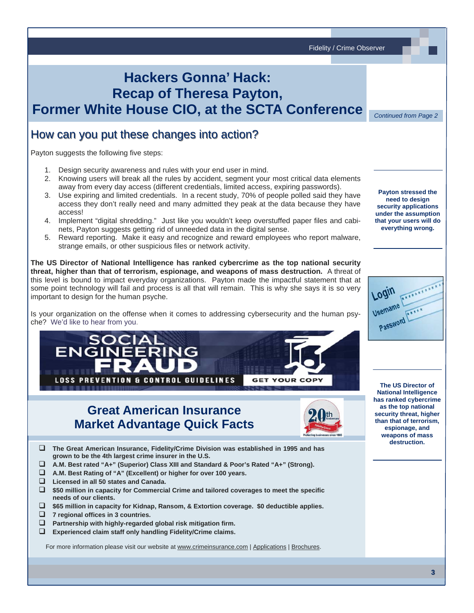Fidelity / Crime Observer **Hackers Gonna' Hack: Recap of Theresa Payton, Former White House CIO, at the SCTA Conference**  *Continued from Page 2*  How can you put these changes into action? Payton suggests the following five steps: 1. Design security awareness and rules with your end user in mind. 2. Knowing users will break all the rules by accident, segment your most critical data elements away from every day access (different credentials, limited access, expiring passwords). **Payton stressed the**  3. Use expiring and limited credentials. In a recent study, 70% of people polled said they have **need to design**  access they don't really need and many admitted they peak at the data because they have **security applications**  access! **under the assumption**  4. Implement "digital shredding." Just like you wouldn't keep overstuffed paper files and cabi**that your users will do**  nets, Payton suggests getting rid of unneeded data in the digital sense. **everything wrong.** 5. Reward reporting. Make it easy and recognize and reward employees who report malware, strange emails, or other suspicious files or network activity. **The US Director of National Intelligence has ranked cybercrime as the top national security threat, higher than that of terrorism, espionage, and weapons of mass destruction.** A threat of this level is bound to impact everyday organizations. Payton made the impactful statement that at some point technology will fail and process is all that will remain. This is why she says it is so very important to design for the human psyche. Is your organization on the offense when it comes to addressing cybersecurity and the human psyche? [We'd like to hear from you](http://www.lowersriskgroup.com/contact/). **LOSS PREVENTION & CONTROL GUIDELINES GET YOUR COPY The US Director of National Intelligence has ranked cybercrime as the top national Great American Insurance security threat, higher than that of terrorism, Market Advantage Quick Facts espionage, and weapons of mass destruction. The Great American Insurance, Fidelity/Crime Division was established in 1995 and has grown to be the 4th largest crime insurer in the U.S. A.M. Best rated "A+" (Superior) Class XIII and Standard & Poor's Rated "A+" (Strong). A.M. Best Rating of "A" (Excellent) or higher for over 100 years.**

- **Licensed in all 50 states and Canada.**
- **\$50 million in capacity for Commercial Crime and tailored coverages to meet the specific needs of our clients.**
- **\$65 million in capacity for Kidnap, Ransom, & Extortion coverage. \$0 deductible applies.**
- **7 regional offices in 3 countries.**
- **Partnership with highly-regarded global risk mitigation firm.**
- **Experienced claim staff only handling Fidelity/Crime claims.**

For more information please visit our website a[t www.crimeinsurance.com](http://www.crimeinsurance.com/) [| Applications](http://www.crimeinsurance.com/application.html) [| Brochure](http://www.crimeinsurance.com/brochures.html)s.

**3**